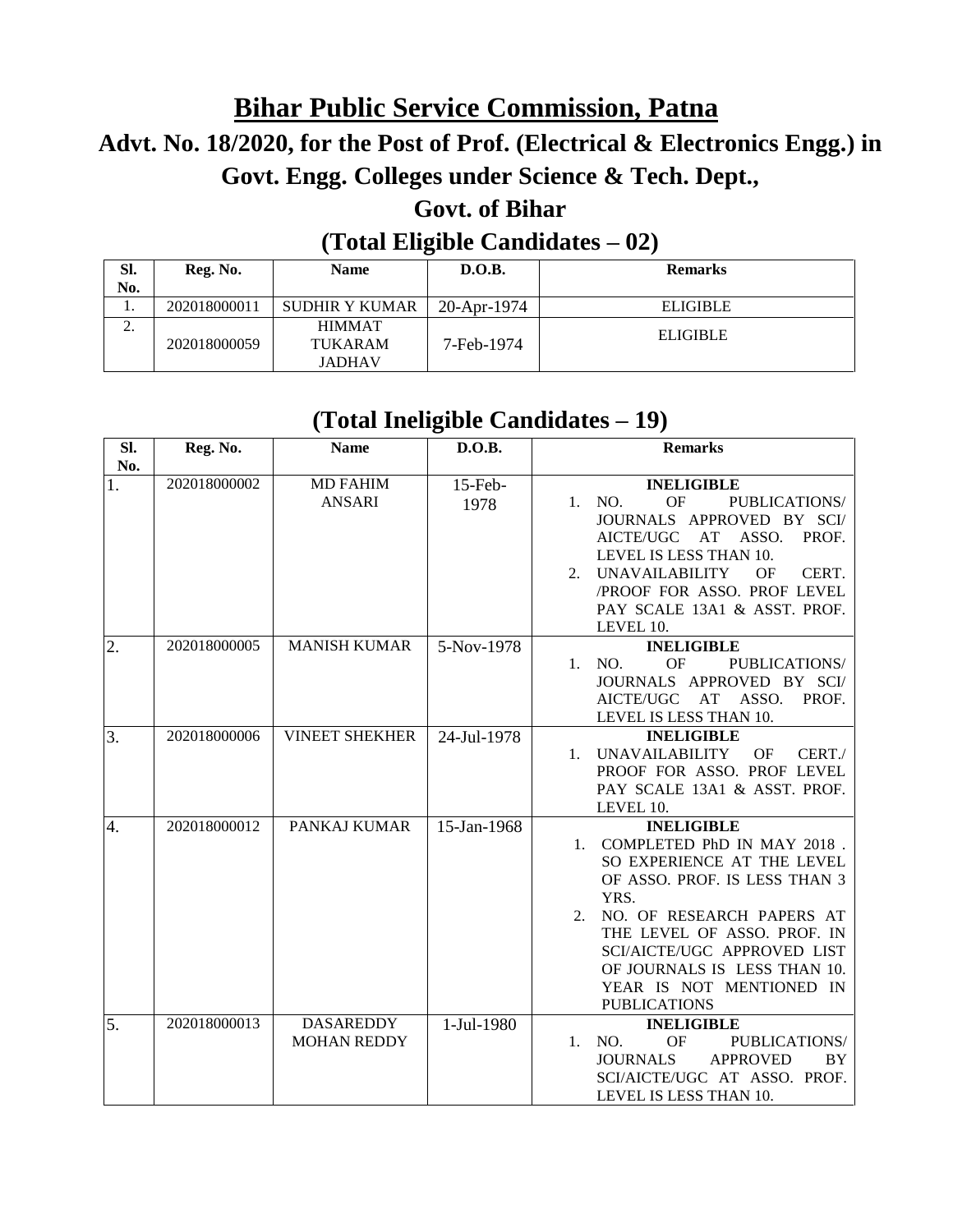# **Bihar Public Service Commission, Patna**

# **Advt. No. 18/2020, for the Post of Prof. (Electrical & Electronics Engg.) in Govt. Engg. Colleges under Science & Tech. Dept.,**

## **Govt. of Bihar**

#### **(Total Eligible Candidates – 02)**

| Sl.<br>No. | Reg. No.     | <b>Name</b>                                      | D.O.B.        | <b>Remarks</b>  |
|------------|--------------|--------------------------------------------------|---------------|-----------------|
| . .        | 202018000011 | <b>SUDHIR Y KUMAR</b>                            | $20-Apr-1974$ | <b>ELIGIBLE</b> |
| <u>، ،</u> | 202018000059 | <b>HIMMAT</b><br><b>TUKARAM</b><br><b>JADHAV</b> | 7-Feb-1974    | <b>ELIGIBLE</b> |

### **(Total Ineligible Candidates – 19)**

| SI.       | Reg. No.     | <b>Name</b>                            | D.O.B.             | <b>Remarks</b>                                                                                                                                                                                                                                                                                                     |
|-----------|--------------|----------------------------------------|--------------------|--------------------------------------------------------------------------------------------------------------------------------------------------------------------------------------------------------------------------------------------------------------------------------------------------------------------|
| No.<br>1. | 202018000002 | <b>MD FAHIM</b><br><b>ANSARI</b>       | $15$ -Feb-<br>1978 | <b>INELIGIBLE</b><br><b>OF</b><br>PUBLICATIONS/<br>1. NO.<br>JOURNALS APPROVED BY SCI/<br>AT<br>ASSO.<br>PROF.<br>AICTE/UGC<br>LEVEL IS LESS THAN 10.<br>2. UNAVAILABILITY<br>OF<br>CERT.<br>/PROOF FOR ASSO. PROF LEVEL<br>PAY SCALE 13A1 & ASST. PROF.<br>LEVEL 10.                                              |
| 2.        | 202018000005 | <b>MANISH KUMAR</b>                    | 5-Nov-1978         | <b>INELIGIBLE</b><br>OF<br>1. NO.<br>PUBLICATIONS/<br>JOURNALS APPROVED BY SCI/<br>AICTE/UGC AT ASSO.<br>PROF.<br>LEVEL IS LESS THAN 10.                                                                                                                                                                           |
| 3.        | 202018000006 | <b>VINEET SHEKHER</b>                  | 24-Jul-1978        | <b>INELIGIBLE</b><br>UNAVAILABILITY<br>OF<br>CERT./<br>$1_{-}$<br>PROOF FOR ASSO. PROF LEVEL<br>PAY SCALE 13A1 & ASST. PROF.<br>LEVEL 10.                                                                                                                                                                          |
| 4.        | 202018000012 | PANKAJ KUMAR                           | 15-Jan-1968        | <b>INELIGIBLE</b><br>1. COMPLETED PhD IN MAY 2018.<br>SO EXPERIENCE AT THE LEVEL<br>OF ASSO. PROF. IS LESS THAN 3<br>YRS.<br>NO. OF RESEARCH PAPERS AT<br>$2^{1}$<br>THE LEVEL OF ASSO. PROF. IN<br>SCI/AICTE/UGC APPROVED LIST<br>OF JOURNALS IS LESS THAN 10.<br>YEAR IS NOT MENTIONED IN<br><b>PUBLICATIONS</b> |
| 5.        | 202018000013 | <b>DASAREDDY</b><br><b>MOHAN REDDY</b> | 1-Jul-1980         | <b>INELIGIBLE</b><br>1. NO.<br><b>OF</b><br>PUBLICATIONS/<br><b>JOURNALS</b><br><b>APPROVED</b><br>BY<br>SCI/AICTE/UGC AT ASSO. PROF.<br>LEVEL IS LESS THAN 10.                                                                                                                                                    |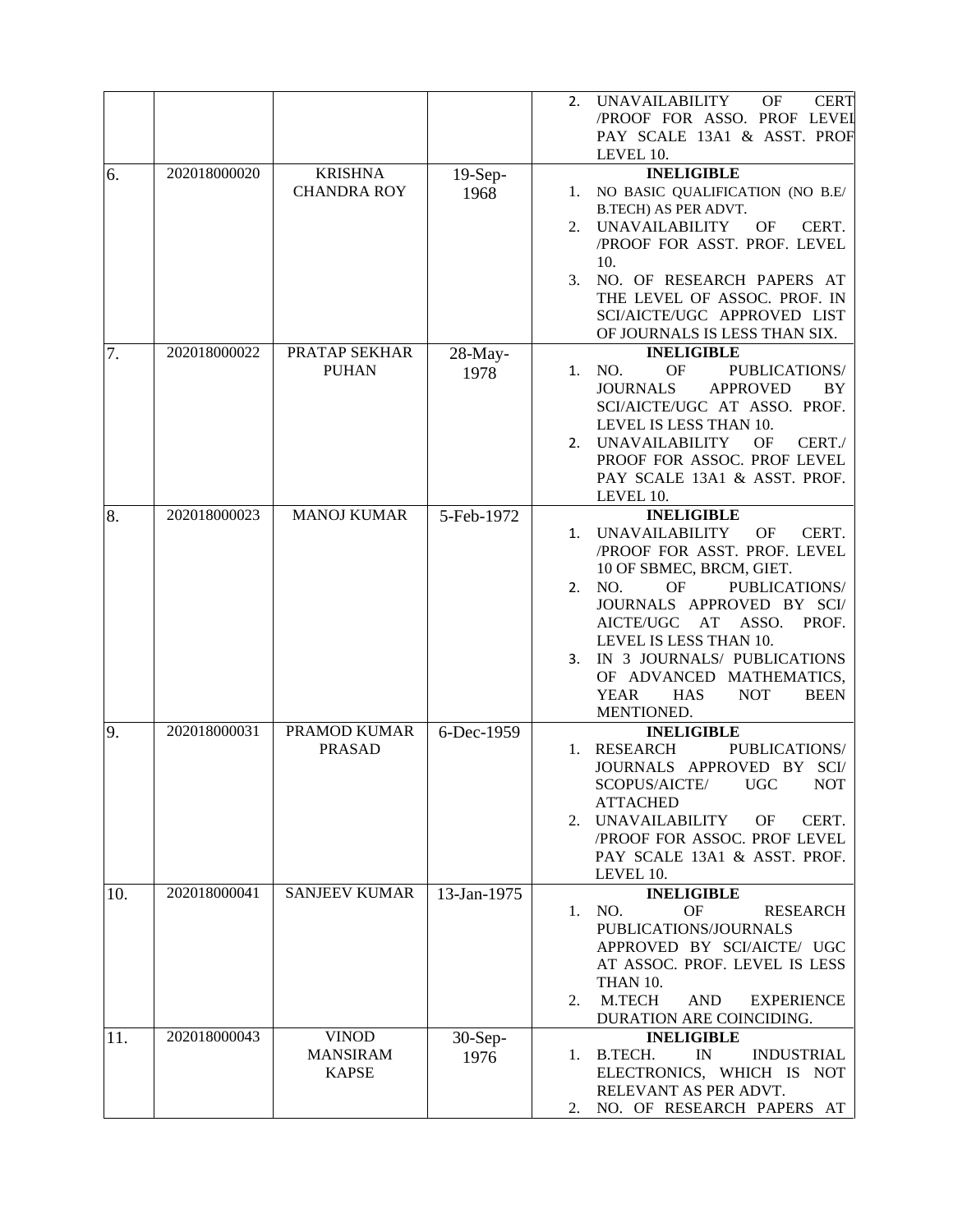|     |              |                      |             | <b>UNAVAILABILITY</b><br>OF<br><b>CERT</b><br>2.<br>/PROOF FOR ASSO. PROF LEVEL<br>PAY SCALE 13A1 & ASST. PROF<br>LEVEL 10. |
|-----|--------------|----------------------|-------------|-----------------------------------------------------------------------------------------------------------------------------|
| 6.  | 202018000020 | <b>KRISHNA</b>       | $19-Sep-$   | <b>INELIGIBLE</b>                                                                                                           |
|     |              | <b>CHANDRA ROY</b>   | 1968        | 1. NO BASIC QUALIFICATION (NO B.E/                                                                                          |
|     |              |                      |             | B.TECH) AS PER ADVT.                                                                                                        |
|     |              |                      |             | 2. UNAVAILABILITY<br>OF<br>CERT.                                                                                            |
|     |              |                      |             | /PROOF FOR ASST. PROF. LEVEL                                                                                                |
|     |              |                      |             |                                                                                                                             |
|     |              |                      |             | 10.                                                                                                                         |
|     |              |                      |             | NO. OF RESEARCH PAPERS AT<br>3.                                                                                             |
|     |              |                      |             | THE LEVEL OF ASSOC. PROF. IN                                                                                                |
|     |              |                      |             | SCI/AICTE/UGC APPROVED LIST                                                                                                 |
|     |              |                      |             | OF JOURNALS IS LESS THAN SIX.                                                                                               |
| 7.  | 202018000022 | PRATAP SEKHAR        | $28$ -May-  | <b>INELIGIBLE</b>                                                                                                           |
|     |              | <b>PUHAN</b>         | 1978        | <b>OF</b><br>NO.<br>PUBLICATIONS/<br>1.                                                                                     |
|     |              |                      |             | <b>JOURNALS</b><br><b>APPROVED</b><br>BY                                                                                    |
|     |              |                      |             | SCI/AICTE/UGC AT ASSO. PROF.                                                                                                |
|     |              |                      |             | LEVEL IS LESS THAN 10.                                                                                                      |
|     |              |                      |             | 2. UNAVAILABILITY<br><b>OF</b><br>CERT./                                                                                    |
|     |              |                      |             | PROOF FOR ASSOC. PROF LEVEL                                                                                                 |
|     |              |                      |             | PAY SCALE 13A1 & ASST. PROF.                                                                                                |
|     |              |                      |             | LEVEL 10.                                                                                                                   |
| 8.  | 202018000023 | <b>MANOJ KUMAR</b>   | 5-Feb-1972  | <b>INELIGIBLE</b>                                                                                                           |
|     |              |                      |             | <b>UNAVAILABILITY</b><br>OF<br>CERT.<br>1.                                                                                  |
|     |              |                      |             | /PROOF FOR ASST. PROF. LEVEL                                                                                                |
|     |              |                      |             | 10 OF SBMEC, BRCM, GIET.                                                                                                    |
|     |              |                      |             | <b>OF</b><br>PUBLICATIONS/<br>NO.<br>2.                                                                                     |
|     |              |                      |             | JOURNALS APPROVED BY SCI/                                                                                                   |
|     |              |                      |             | ASSO.<br>AICTE/UGC<br>AT<br>PROF.                                                                                           |
|     |              |                      |             | LEVEL IS LESS THAN 10.                                                                                                      |
|     |              |                      |             | IN 3 JOURNALS/ PUBLICATIONS<br>3.                                                                                           |
|     |              |                      |             | OF ADVANCED MATHEMATICS,                                                                                                    |
|     |              |                      |             | <b>YEAR</b><br><b>HAS</b><br><b>NOT</b><br><b>BEEN</b>                                                                      |
|     |              |                      |             | MENTIONED.                                                                                                                  |
| 9.  | 202018000031 | PRAMOD KUMAR         | 6-Dec-1959  | <b>INELIGIBLE</b>                                                                                                           |
|     |              | <b>PRASAD</b>        |             | <b>RESEARCH</b><br>PUBLICATIONS/<br>1.                                                                                      |
|     |              |                      |             | JOURNALS APPROVED BY SCI/                                                                                                   |
|     |              |                      |             | SCOPUS/AICTE/<br>NOT                                                                                                        |
|     |              |                      |             | UGC –                                                                                                                       |
|     |              |                      |             | <b>ATTACHED</b>                                                                                                             |
|     |              |                      |             | 2. UNAVAILABILITY<br>OF<br>CERT.                                                                                            |
|     |              |                      |             | /PROOF FOR ASSOC. PROF LEVEL                                                                                                |
|     |              |                      |             | PAY SCALE 13A1 & ASST. PROF.                                                                                                |
|     |              |                      |             | LEVEL 10.                                                                                                                   |
| 10. | 202018000041 | <b>SANJEEV KUMAR</b> | 13-Jan-1975 | <b>INELIGIBLE</b>                                                                                                           |
|     |              |                      |             | NO.<br>OF<br><b>RESEARCH</b><br>1.                                                                                          |
|     |              |                      |             | PUBLICATIONS/JOURNALS                                                                                                       |
|     |              |                      |             | APPROVED BY SCI/AICTE/ UGC                                                                                                  |
|     |              |                      |             | AT ASSOC. PROF. LEVEL IS LESS                                                                                               |
|     |              |                      |             | THAN 10.                                                                                                                    |
|     |              |                      |             | M.TECH<br><b>AND</b><br><b>EXPERIENCE</b><br>2.                                                                             |
|     |              |                      |             | DURATION ARE COINCIDING.                                                                                                    |
| 11. | 202018000043 | <b>VINOD</b>         | 30-Sep-     | <b>INELIGIBLE</b>                                                                                                           |
|     |              | <b>MANSIRAM</b>      | 1976        | 1. B.TECH.<br>$\mathbb{N}$<br><b>INDUSTRIAL</b>                                                                             |
|     |              | <b>KAPSE</b>         |             | ELECTRONICS, WHICH IS NOT                                                                                                   |
|     |              |                      |             | RELEVANT AS PER ADVT.                                                                                                       |
|     |              |                      |             | NO. OF RESEARCH PAPERS AT<br>2.                                                                                             |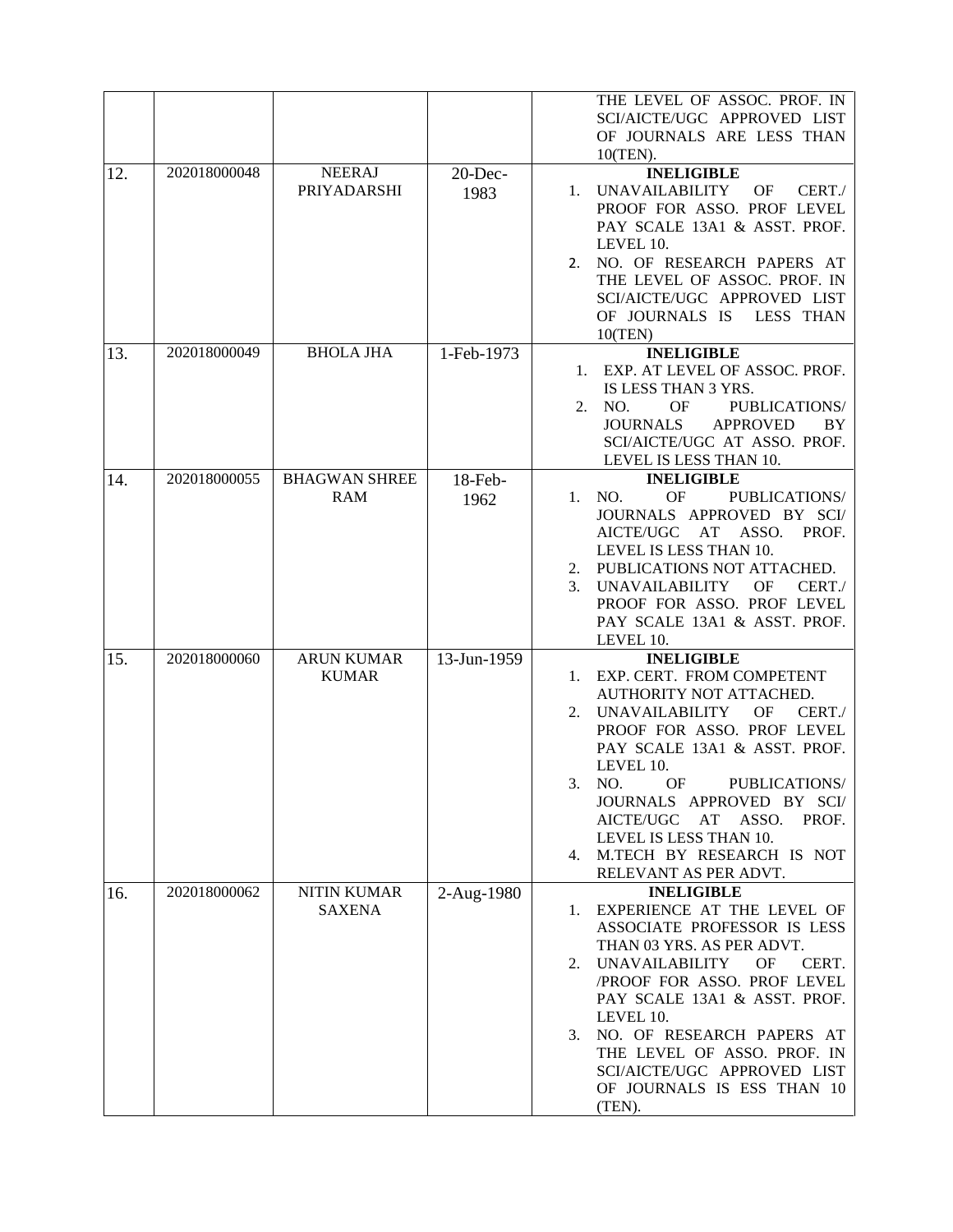|     |              |                                    |                    | THE LEVEL OF ASSOC. PROF. IN<br>SCI/AICTE/UGC APPROVED LIST<br>OF JOURNALS ARE LESS THAN<br>10(TEN).                                                                                                                                                                                                                                                                                      |
|-----|--------------|------------------------------------|--------------------|-------------------------------------------------------------------------------------------------------------------------------------------------------------------------------------------------------------------------------------------------------------------------------------------------------------------------------------------------------------------------------------------|
| 12. | 202018000048 | <b>NEERAJ</b><br>PRIYADARSHI       | $20$ -Dec-<br>1983 | <b>INELIGIBLE</b><br><b>UNAVAILABILITY</b><br><b>OF</b><br>CERT./<br>1.<br>PROOF FOR ASSO. PROF LEVEL<br>PAY SCALE 13A1 & ASST. PROF.<br>LEVEL 10.<br>NO. OF RESEARCH PAPERS AT<br>2.<br>THE LEVEL OF ASSOC. PROF. IN<br>SCI/AICTE/UGC APPROVED LIST<br>OF JOURNALS IS<br>LESS THAN<br>10(TEN)                                                                                            |
| 13. | 202018000049 | <b>BHOLA JHA</b>                   | 1-Feb-1973         | <b>INELIGIBLE</b><br>1. EXP. AT LEVEL OF ASSOC. PROF.<br>IS LESS THAN 3 YRS.<br>NO.<br><b>OF</b><br>PUBLICATIONS/<br>2.<br><b>JOURNALS</b><br><b>APPROVED</b><br>BY<br>SCI/AICTE/UGC AT ASSO. PROF.<br>LEVEL IS LESS THAN 10.                                                                                                                                                             |
| 14. | 202018000055 | <b>BHAGWAN SHREE</b><br><b>RAM</b> | $18$ -Feb-<br>1962 | <b>INELIGIBLE</b><br>OF<br>1. NO.<br>PUBLICATIONS/<br>JOURNALS APPROVED BY SCI/<br>AICTE/UGC AT ASSO.<br>PROF.<br>LEVEL IS LESS THAN 10.<br>PUBLICATIONS NOT ATTACHED.<br>2.<br><b>UNAVAILABILITY</b><br><b>OF</b><br>CERT./<br>3.<br>PROOF FOR ASSO. PROF LEVEL<br>PAY SCALE 13A1 & ASST. PROF.<br>LEVEL 10.                                                                             |
| 15. | 202018000060 | <b>ARUN KUMAR</b><br><b>KUMAR</b>  | 13-Jun-1959        | <b>INELIGIBLE</b><br>EXP. CERT. FROM COMPETENT<br>1.<br>AUTHORITY NOT ATTACHED.<br><b>UNAVAILABILITY</b><br>OF<br>CERT./<br>2.<br>PROOF FOR ASSO. PROF LEVEL<br>PAY SCALE 13A1 & ASST. PROF.<br>LEVEL 10.<br>PUBLICATIONS/<br>3. NO.<br>OF<br>JOURNALS APPROVED BY SCI/<br>AICTE/UGC AT ASSO.<br>PROF.<br>LEVEL IS LESS THAN 10.<br>4. M.TECH BY RESEARCH IS NOT<br>RELEVANT AS PER ADVT. |
| 16. | 202018000062 | NITIN KUMAR<br><b>SAXENA</b>       | 2-Aug-1980         | <b>INELIGIBLE</b><br>EXPERIENCE AT THE LEVEL OF<br>1.<br>ASSOCIATE PROFESSOR IS LESS<br>THAN 03 YRS. AS PER ADVT.<br>2. UNAVAILABILITY<br>OF<br>CERT.<br>/PROOF FOR ASSO. PROF LEVEL<br>PAY SCALE 13A1 & ASST. PROF.<br>LEVEL 10.<br>NO. OF RESEARCH PAPERS AT<br>3.<br>THE LEVEL OF ASSO. PROF. IN<br>SCI/AICTE/UGC APPROVED LIST<br>OF JOURNALS IS ESS THAN 10<br>(TEN).                |